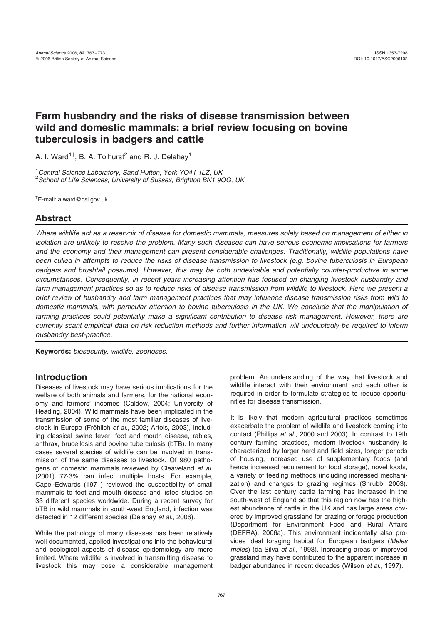# Farm husbandry and the risks of disease transmission between wild and domestic mammals: a brief review focusing on bovine tuberculosis in badgers and cattle

A. I. Ward<sup>1†</sup>, B. A. Tolhurst<sup>2</sup> and R. J. Delahay<sup>1</sup>

<sup>1</sup> Central Science Laboratory, Sand Hutton, York YO41 1LZ, UK <sup>2</sup>School of Life Sciences, University of Sussex, Brighton BN1 9QG, UK

† E-mail: a.ward@csl.gov.uk

# Abstract

Where wildlife act as a reservoir of disease for domestic mammals, measures solely based on management of either in isolation are unlikely to resolve the problem. Many such diseases can have serious economic implications for farmers and the economy and their management can present considerable challenges. Traditionally, wildlife populations have been culled in attempts to reduce the risks of disease transmission to livestock (e.g. bovine tuberculosis in European badgers and brushtail possums). However, this may be both undesirable and potentially counter-productive in some circumstances. Consequently, in recent years increasing attention has focused on changing livestock husbandry and farm management practices so as to reduce risks of disease transmission from wildlife to livestock. Here we present a brief review of husbandry and farm management practices that may influence disease transmission risks from wild to domestic mammals, with particular attention to bovine tuberculosis in the UK. We conclude that the manipulation of farming practices could potentially make a significant contribution to disease risk management. However, there are currently scant empirical data on risk reduction methods and further information will undoubtedly be required to inform husbandry best-practice.

Keywords: biosecurity, wildlife, zoonoses.

# Introduction

Diseases of livestock may have serious implications for the welfare of both animals and farmers, for the national economy and farmers' incomes (Caldow, 2004; University of Reading, 2004). Wild mammals have been implicated in the transmission of some of the most familiar diseases of livestock in Europe (Frőhlich et al., 2002; Artois, 2003), including classical swine fever, foot and mouth disease, rabies, anthrax, brucellosis and bovine tuberculosis (bTB). In many cases several species of wildlife can be involved in transmission of the same diseases to livestock. Of 980 pathogens of domestic mammals reviewed by Cleaveland et al. (2001) 77·3% can infect multiple hosts. For example, Capel-Edwards (1971) reviewed the susceptibility of small mammals to foot and mouth disease and listed studies on 33 different species worldwide. During a recent survey for bTB in wild mammals in south-west England, infection was detected in 12 different species (Delahay et al., 2006).

While the pathology of many diseases has been relatively well documented, applied investigations into the behavioural and ecological aspects of disease epidemiology are more limited. Where wildlife is involved in transmitting disease to livestock this may pose a considerable management problem. An understanding of the way that livestock and wildlife interact with their environment and each other is required in order to formulate strategies to reduce opportunities for disease transmission.

It is likely that modern agricultural practices sometimes exacerbate the problem of wildlife and livestock coming into contact (Phillips et al., 2000 and 2003). In contrast to 19th century farming practices, modern livestock husbandry is characterized by larger herd and field sizes, longer periods of housing, increased use of supplementary foods (and hence increased requirement for food storage), novel foods, a variety of feeding methods (including increased mechanization) and changes to grazing regimes (Shrubb, 2003). Over the last century cattle farming has increased in the south-west of England so that this region now has the highest abundance of cattle in the UK and has large areas covered by improved grassland for grazing or forage production (Department for Environment Food and Rural Affairs (DEFRA), 2006a). This environment incidentally also provides ideal foraging habitat for European badgers (Meles meles) (da Silva et al., 1993). Increasing areas of improved grassland may have contributed to the apparent increase in badger abundance in recent decades (Wilson et al., 1997).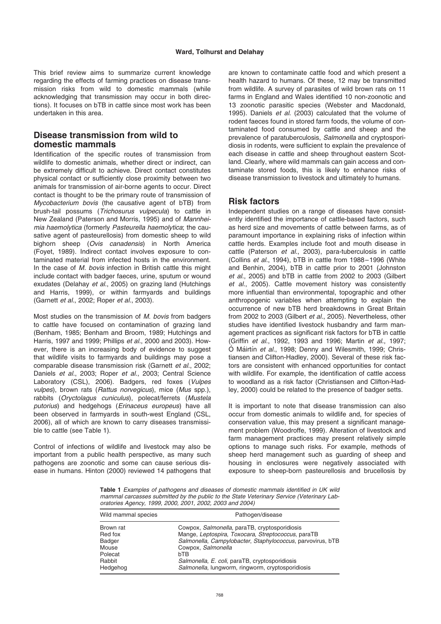This brief review aims to summarize current knowledge regarding the effects of farming practices on disease transmission risks from wild to domestic mammals (while acknowledging that transmission may occur in both directions). It focuses on bTB in cattle since most work has been undertaken in this area.

# Disease transmission from wild to domestic mammals

Identification of the specific routes of transmission from wildlife to domestic animals, whether direct or indirect, can be extremely difficult to achieve. Direct contact constitutes physical contact or sufficiently close proximity between two animals for transmission of air-borne agents to occur. Direct contact is thought to be the primary route of transmission of Mycobacterium bovis (the causative agent of bTB) from brush-tail possums (Trichosurus vulpecula) to cattle in New Zealand (Paterson and Morris, 1995) and of Mannheimia haemolytica (formerly Pasteurella haemolytica; the causative agent of pasteurellosis) from domestic sheep to wild bighorn sheep (Ovis canadensis) in North America (Foyet, 1989). Indirect contact involves exposure to contaminated material from infected hosts in the environment. In the case of M. bovis infection in British cattle this might include contact with badger faeces, urine, sputum or wound exudates (Delahay et al., 2005) on grazing land (Hutchings and Harris, 1999), or within farmyards and buildings (Garnett et al., 2002; Roper et al., 2003).

Most studies on the transmission of M. bovis from badgers to cattle have focused on contamination of grazing land (Benham, 1985; Benham and Broom, 1989; Hutchings and Harris, 1997 and 1999; Phillips et al., 2000 and 2003). However, there is an increasing body of evidence to suggest that wildlife visits to farmyards and buildings may pose a comparable disease transmission risk (Garnett et al., 2002; Daniels et al., 2003; Roper et al., 2003; Central Science Laboratory (CSL), 2006). Badgers, red foxes (Vulpes vulpes), brown rats (Rattus norvegicus), mice (Mus spp.), rabbits (Oryctolagus cuniculus), polecat/ferrets (Mustela putorius) and hedgehogs (Erinaceus europeus) have all been observed in farmyards in south-west England (CSL, 2006), all of which are known to carry diseases transmissible to cattle (see Table 1).

Control of infections of wildlife and livestock may also be important from a public health perspective, as many such pathogens are zoonotic and some can cause serious disease in humans. Hinton (2000) reviewed 14 pathogens that

are known to contaminate cattle food and which present a health hazard to humans. Of these, 12 may be transmitted from wildlife. A survey of parasites of wild brown rats on 11 farms in England and Wales identified 10 non-zoonotic and 13 zoonotic parasitic species (Webster and Macdonald, 1995). Daniels et al. (2003) calculated that the volume of rodent faeces found in stored farm foods, the volume of contaminated food consumed by cattle and sheep and the prevalence of paratuberculosis, Salmonella and cryptosporidiosis in rodents, were sufficient to explain the prevalence of each disease in cattle and sheep throughout eastern Scotland. Clearly, where wild mammals can gain access and contaminate stored foods, this is likely to enhance risks of disease transmission to livestock and ultimately to humans.

# Risk factors

Independent studies on a range of diseases have consistently identified the importance of cattle-based factors, such as herd size and movements of cattle between farms, as of paramount importance in explaining risks of infection within cattle herds. Examples include foot and mouth disease in cattle (Paterson et al., 2003), para-tuberculosis in cattle (Collins et al., 1994), bTB in cattle from 1988–1996 (White and Benhin, 2004), bTB in cattle prior to 2001 (Johnston et al., 2005) and bTB in cattle from 2002 to 2003 (Gilbert et al., 2005). Cattle movement history was consistently more influential than environmental, topographic and other anthropogenic variables when attempting to explain the occurrence of new bTB herd breakdowns in Great Britain from 2002 to 2003 (Gilbert et al., 2005). Nevertheless, other studies have identified livestock husbandry and farm management practices as significant risk factors for bTB in cattle (Griffin et al., 1992, 1993 and 1996; Martin et al., 1997; Ó Máirtín et al., 1998; Denny and Wilesmith, 1999; Christiansen and Clifton-Hadley, 2000). Several of these risk factors are consistent with enhanced opportunities for contact with wildlife. For example, the identification of cattle access to woodland as a risk factor (Christiansen and Clifton-Hadley, 2000) could be related to the presence of badger setts.

It is important to note that disease transmission can also occur from domestic animals to wildlife and, for species of conservation value, this may present a significant management problem (Woodroffe, 1999). Alteration of livestock and farm management practices may present relatively simple options to manage such risks. For example, methods of sheep herd management such as guarding of sheep and housing in enclosures were negatively associated with exposure to sheep-born pasteurellosis and brucellosis by

Table 1 Examples of pathogens and diseases of domestic mammals identified in UK wild mammal carcasses submitted by the public to the State Veterinary Service (Veterinary Laboratories Agency, 1999, 2000, 2001, 2002, 2003 and 2004)

| Wild mammal species | Pathogen/disease                                                                                    |
|---------------------|-----------------------------------------------------------------------------------------------------|
| Brown rat           | Cowpox, Salmonella, paraTB, cryptosporidiosis                                                       |
| Red fox             | Mange, Leptospira, Toxocara, Streptococcus, paraTB                                                  |
| Badger              | Salmonella, Campylobacter, Staphylococcus, parvovirus, bTB                                          |
| Mouse               | Cowpox, Salmonella                                                                                  |
| Polecat             | <b>hTR</b>                                                                                          |
| Rabbit<br>Hedgehog  | Salmonella, E. coli, paraTB, cryptosporidiosis<br>Salmonella, lungworm, ringworm, cryptosporidiosis |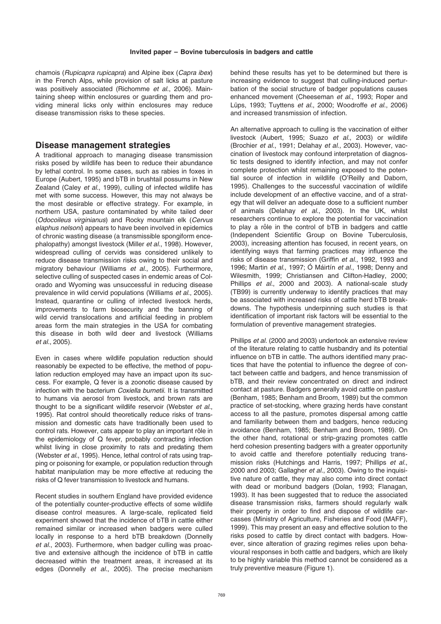chamois (Rupicapra rupicapra) and Alpine ibex (Capra ibex) in the French Alps, while provision of salt licks at pasture was positively associated (Richomme et al., 2006). Maintaining sheep within enclosures or guarding them and providing mineral licks only within enclosures may reduce disease transmission risks to these species.

### Disease management strategies

A traditional approach to managing disease transmission risks posed by wildlife has been to reduce their abundance by lethal control. In some cases, such as rabies in foxes in Europe (Aubert, 1995) and bTB in brushtail possums in New Zealand (Caley et al., 1999), culling of infected wildlife has met with some success. However, this may not always be the most desirable or effective strategy. For example, in northern USA, pasture contaminated by white tailed deer (Odocoileus virginianus) and Rocky mountain elk (Cervus elaphus nelsoni) appears to have been involved in epidemics of chronic wasting disease (a transmissible spongiform encephalopathy) amongst livestock (Miller et al., 1998). However, widespread culling of cervids was considered unlikely to reduce disease transmission risks owing to their social and migratory behaviour (Williams et al., 2005). Furthermore, selective culling of suspected cases in endemic areas of Colorado and Wyoming was unsuccessful in reducing disease prevalence in wild cervid populations (Williams et al., 2005). Instead, quarantine or culling of infected livestock herds, improvements to farm biosecurity and the banning of wild cervid translocations and artificial feeding in problem areas form the main strategies in the USA for combating this disease in both wild deer and livestock (Williams et al., 2005).

Even in cases where wildlife population reduction should reasonably be expected to be effective, the method of population reduction employed may have an impact upon its success. For example, Q fever is a zoonotic disease caused by infection with the bacterium *Coxiella burnetii*. It is transmitted to humans via aerosol from livestock, and brown rats are thought to be a significant wildlife reservoir (Webster et al., 1995). Rat control should theoretically reduce risks of transmission and domestic cats have traditionally been used to control rats. However, cats appear to play an important rôle in the epidemiology of Q fever, probably contracting infection whilst living in close proximity to rats and predating them (Webster et al., 1995). Hence, lethal control of rats using trapping or poisoning for example, or population reduction through habitat manipulation may be more effective at reducing the risks of Q fever transmission to livestock and humans.

Recent studies in southern England have provided evidence of the potentially counter-productive effects of some wildlife disease control measures. A large-scale, replicated field experiment showed that the incidence of bTB in cattle either remained similar or increased when badgers were culled locally in response to a herd bTB breakdown (Donnelly et al., 2003). Furthermore, when badger culling was proactive and extensive although the incidence of bTB in cattle decreased within the treatment areas, it increased at its edges (Donnelly et al., 2005). The precise mechanism

behind these results has yet to be determined but there is increasing evidence to suggest that culling-induced perturbation of the social structure of badger populations causes enhanced movement (Cheeseman et al., 1993; Roper and Lups, 1993; Tuyttens et al., 2000; Woodroffe et al., 2006) and increased transmission of infection.

An alternative approach to culling is the vaccination of either livestock (Aubert, 1995; Suazo et al., 2003) or wildlife (Brochier et al., 1991; Delahay et al., 2003). However, vaccination of livestock may confound interpretation of diagnostic tests designed to identify infection, and may not confer complete protection whilst remaining exposed to the potential source of infection in wildlife (O'Reilly and Daborn, 1995). Challenges to the successful vaccination of wildlife include development of an effective vaccine, and of a strategy that will deliver an adequate dose to a sufficient number of animals (Delahay et al., 2003). In the UK, whilst researchers continue to explore the potential for vaccination to play a rôle in the control of bTB in badgers and cattle (Independent Scientific Group on Bovine Tuberculosis, 2003), increasing attention has focused, in recent years, on identifying ways that farming practices may influence the risks of disease transmission (Griffin et al., 1992, 1993 and 1996; Martin et al., 1997; Ó Máirtín et al., 1998; Denny and Wilesmith, 1999; Christiansen and Clifton-Hadley, 2000; Phillips et al., 2000 and 2003). A national-scale study (TB99) is currently underway to identify practices that may be associated with increased risks of cattle herd bTB breakdowns. The hypothesis underpinning such studies is that identification of important risk factors will be essential to the formulation of preventive management strategies.

Phillips et al. (2000 and 2003) undertook an extensive review of the literature relating to cattle husbandry and its potential influence on bTB in cattle. The authors identified many practices that have the potential to influence the degree of contact between cattle and badgers, and hence transmission of bTB, and their review concentrated on direct and indirect contact at pasture. Badgers generally avoid cattle on pasture (Benham, 1985; Benham and Broom, 1989) but the common practice of set-stocking, where grazing herds have constant access to all the pasture, promotes dispersal among cattle and familiarity between them and badgers, hence reducing avoidance (Benham, 1985; Benham and Broom, 1989). On the other hand, rotational or strip-grazing promotes cattle herd cohesion presenting badgers with a greater opportunity to avoid cattle and therefore potentially reducing transmission risks (Hutchings and Harris, 1997; Phillips et al., 2000 and 2003; Gallagher et al., 2003). Owing to the inquisitive nature of cattle, they may also come into direct contact with dead or moribund badgers (Dolan, 1993; Flanagan, 1993). It has been suggested that to reduce the associated disease transmission risks, farmers should regularly walk their property in order to find and dispose of wildlife carcasses (Ministry of Agriculture, Fisheries and Food (MAFF), 1999). This may present an easy and effective solution to the risks posed to cattle by direct contact with badgers. However, since alteration of grazing regimes relies upon behavioural responses in both cattle and badgers, which are likely to be highly variable this method cannot be considered as a truly preventive measure (Figure 1).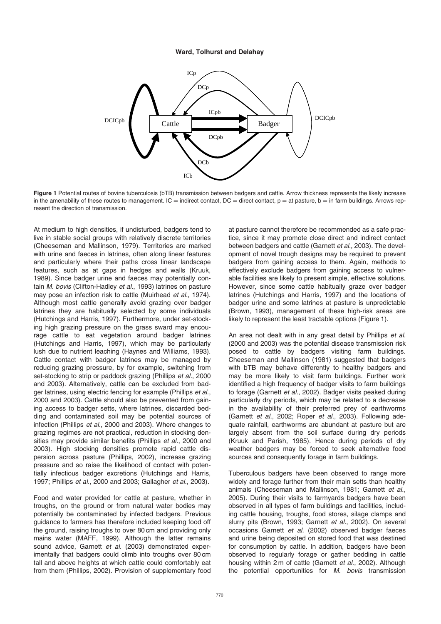#### Ward, Tolhurst and Delahay



Figure 1 Potential routes of bovine tuberculosis (bTB) transmission between badgers and cattle. Arrow thickness represents the likely increase in the amenability of these routes to management.  $IC =$  indirect contact,  $DC =$  direct contact,  $p =$  at pasture,  $b =$  in farm buildings. Arrows represent the direction of transmission.

At medium to high densities, if undisturbed, badgers tend to live in stable social groups with relatively discrete territories (Cheeseman and Mallinson, 1979). Territories are marked with urine and faeces in latrines, often along linear features and particularly where their paths cross linear landscape features, such as at gaps in hedges and walls (Kruuk, 1989). Since badger urine and faeces may potentially contain M. bovis (Clifton-Hadley et al., 1993) latrines on pasture may pose an infection risk to cattle (Muirhead et al., 1974). Although most cattle generally avoid grazing over badger latrines they are habitually selected by some individuals (Hutchings and Harris, 1997). Furthermore, under set-stocking high grazing pressure on the grass sward may encourage cattle to eat vegetation around badger latrines (Hutchings and Harris, 1997), which may be particularly lush due to nutrient leaching (Haynes and Williams, 1993). Cattle contact with badger latrines may be managed by reducing grazing pressure, by for example, switching from set-stocking to strip or paddock grazing (Phillips et al., 2000 and 2003). Alternatively, cattle can be excluded from badger latrines, using electric fencing for example (Phillips et al., 2000 and 2003). Cattle should also be prevented from gaining access to badger setts, where latrines, discarded bedding and contaminated soil may be potential sources of infection (Phillips et al., 2000 and 2003). Where changes to grazing regimes are not practical, reduction in stocking densities may provide similar benefits (Phillips et al., 2000 and 2003). High stocking densities promote rapid cattle dispersion across pasture (Phillips, 2002), increase grazing pressure and so raise the likelihood of contact with potentially infectious badger excretions (Hutchings and Harris, 1997; Phillips et al., 2000 and 2003; Gallagher et al., 2003).

Food and water provided for cattle at pasture, whether in troughs, on the ground or from natural water bodies may potentially be contaminated by infected badgers. Previous guidance to farmers has therefore included keeping food off the ground, raising troughs to over 80 cm and providing only mains water (MAFF, 1999). Although the latter remains sound advice, Garnett et al. (2003) demonstrated experimentally that badgers could climb into troughs over 80 cm tall and above heights at which cattle could comfortably eat from them (Phillips, 2002). Provision of supplementary food at pasture cannot therefore be recommended as a safe practice, since it may promote close direct and indirect contact between badgers and cattle (Garnett et al., 2003). The development of novel trough designs may be required to prevent badgers from gaining access to them. Again, methods to effectively exclude badgers from gaining access to vulnerable facilities are likely to present simple, effective solutions. However, since some cattle habitually graze over badger latrines (Hutchings and Harris, 1997) and the locations of badger urine and some latrines at pasture is unpredictable (Brown, 1993), management of these high-risk areas are likely to represent the least tractable options (Figure 1).

An area not dealt with in any great detail by Phillips et al. (2000 and 2003) was the potential disease transmission risk posed to cattle by badgers visiting farm buildings. Cheeseman and Mallinson (1981) suggested that badgers with bTB may behave differently to healthy badgers and may be more likely to visit farm buildings. Further work identified a high frequency of badger visits to farm buildings to forage (Garnett et al., 2002). Badger visits peaked during particularly dry periods, which may be related to a decrease in the availability of their preferred prey of earthworms (Garnett et al., 2002; Roper et al., 2003). Following adequate rainfall, earthworms are abundant at pasture but are largely absent from the soil surface during dry periods (Kruuk and Parish, 1985). Hence during periods of dry weather badgers may be forced to seek alternative food sources and consequently forage in farm buildings.

Tuberculous badgers have been observed to range more widely and forage further from their main setts than healthy animals (Cheeseman and Mallinson, 1981; Garnett et al., 2005). During their visits to farmyards badgers have been observed in all types of farm buildings and facilities, including cattle housing, troughs, food stores, silage clamps and slurry pits (Brown, 1993; Garnett et al., 2002). On several occasions Garnett et al. (2002) observed badger faeces and urine being deposited on stored food that was destined for consumption by cattle. In addition, badgers have been observed to regularly forage or gather bedding in cattle housing within 2 m of cattle (Garnett et al., 2002). Although the potential opportunities for M. bovis transmission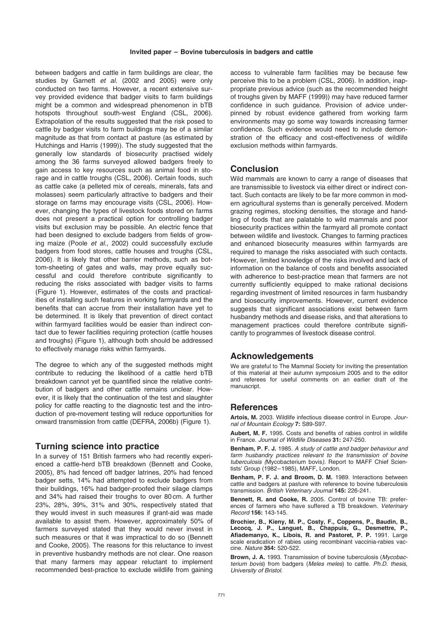between badgers and cattle in farm buildings are clear, the studies by Garnett et al. (2002 and 2005) were only conducted on two farms. However, a recent extensive survey provided evidence that badger visits to farm buildings might be a common and widespread phenomenon in bTB hotspots throughout south-west England (CSL, 2006). Extrapolation of the results suggested that the risk posed to cattle by badger visits to farm buildings may be of a similar magnitude as that from contact at pasture (as estimated by Hutchings and Harris (1999)). The study suggested that the generally low standards of biosecurity practised widely among the 36 farms surveyed allowed badgers freely to gain access to key resources such as animal food in storage and in cattle troughs (CSL, 2006). Certain foods, such as cattle cake (a pelleted mix of cereals, minerals, fats and molasses) seem particularly attractive to badgers and their storage on farms may encourage visits (CSL, 2006). However, changing the types of livestock foods stored on farms does not present a practical option for controlling badger visits but exclusion may be possible. An electric fence that had been designed to exclude badgers from fields of growing maize (Poole et al., 2002) could successfully exclude badgers from food stores, cattle houses and troughs (CSL, 2006). It is likely that other barrier methods, such as bottom-sheeting of gates and walls, may prove equally successful and could therefore contribute significantly to reducing the risks associated with badger visits to farms (Figure 1). However, estimates of the costs and practicalities of installing such features in working farmyards and the benefits that can accrue from their installation have yet to be determined. It is likely that prevention of direct contact within farmyard facilities would be easier than indirect contact due to fewer facilities requiring protection (cattle houses and troughs) (Figure 1), although both should be addressed to effectively manage risks within farmyards.

The degree to which any of the suggested methods might contribute to reducing the likelihood of a cattle herd bTB breakdown cannot yet be quantified since the relative contribution of badgers and other cattle remains unclear. However, it is likely that the continuation of the test and slaughter policy for cattle reacting to the diagnostic test and the introduction of pre-movement testing will reduce opportunities for onward transmission from cattle (DEFRA, 2006b) (Figure 1).

### Turning science into practice

In a survey of 151 British farmers who had recently experienced a cattle-herd bTB breakdown (Bennett and Cooke, 2005), 8% had fenced off badger latrines, 20% had fenced badger setts, 14% had attempted to exclude badgers from their buildings, 16% had badger-proofed their silage clamps and 34% had raised their troughs to over 80 cm. A further 23%, 28%, 39%, 31% and 30%, respectively stated that they would invest in such measures if grant-aid was made available to assist them. However, approximately 50% of farmers surveyed stated that they would never invest in such measures or that it was impractical to do so (Bennett and Cooke, 2005). The reasons for this reluctance to invest in preventive husbandry methods are not clear. One reason that many farmers may appear reluctant to implement recommended best-practice to exclude wildlife from gaining

access to vulnerable farm facilities may be because few perceive this to be a problem (CSL, 2006). In addition, inappropriate previous advice (such as the recommended height of troughs given by MAFF (1999)) may have reduced farmer confidence in such guidance. Provision of advice underpinned by robust evidence gathered from working farm environments may go some way towards increasing farmer confidence. Such evidence would need to include demonstration of the efficacy and cost-effectiveness of wildlife exclusion methods within farmyards.

### **Conclusion**

Wild mammals are known to carry a range of diseases that are transmissible to livestock via either direct or indirect contact. Such contacts are likely to be far more common in modern agricultural systems than is generally perceived. Modern grazing regimes, stocking densities, the storage and handling of foods that are palatable to wild mammals and poor biosecurity practices within the farmyard all promote contact between wildlife and livestock. Changes to farming practices and enhanced biosecurity measures within farmyards are required to manage the risks associated with such contacts. However, limited knowledge of the risks involved and lack of information on the balance of costs and benefits associated with adherence to best-practice mean that farmers are not currently sufficiently equipped to make rational decisions regarding investment of limited resources in farm husbandry and biosecurity improvements. However, current evidence suggests that significant associations exist between farm husbandry methods and disease risks, and that alterations to management practices could therefore contribute significantly to programmes of livestock disease control.

### Acknowledgements

We are grateful to The Mammal Society for inviting the presentation of this material at their autumn symposium 2005 and to the editor and referees for useful comments on an earlier draft of the manuscript.

#### **References**

Artois, M. 2003. Wildlife infectious disease control in Europe. Journal of Mountain Ecology 7: S89-S97.

Aubert, M. F. 1995. Costs and benefits of rabies control in wildlife in France. Journal of Wildlife Diseases 31: 247-250.

Benham, P. F. J. 1985. A study of cattle and badger behaviour and farm husbandry practices relevant to the transmission of bovine tuberculosis (Mycobacterium bovis). Report to MAFF Chief Scientists' Group (1982–1985), MAFF, London.

Benham, P. F. J. and Broom, D. M. 1989. Interactions between cattle and badgers at pasture with reference to bovine tuberculosis transmission. British Veterinary Journal 145: 226-241.

Bennett, R. and Cooke, R. 2005. Control of bovine TB: preferences of farmers who have suffered a TB breakdown. Veterinary Record 156: 143-145.

Brochier, B., Kieny, M. P., Costy, F., Coppens, P., Baudin, B., Lecocq, J. P., Languet, B., Chappuis, G., Desmettre, P., Afiademanyo, K., Libois, R. and Pastoret, P. P. 1991. Large scale eradication of rabies using recombinant vaccinia-rabies vaccine. Nature 354: 520-522.

Brown, J. A. 1993. Transmission of bovine tuberculosis (Mycobacterium bovis) from badgers (Meles meles) to cattle. Ph.D. thesis, University of Bristol.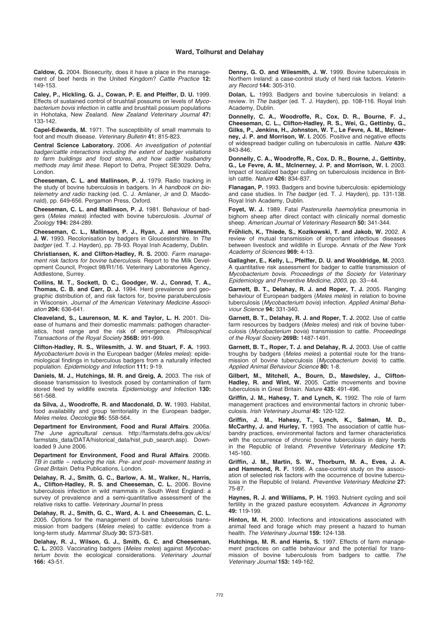Caldow, G. 2004. Biosecurity, does it have a place in the management of beef herds in the United Kingdom? Cattle Practice 12: 149-153.

Caley, P., Hickling, G. J., Cowan, P. E. and Pfeiffer, D. U. 1999. Effects of sustained control of brushtail possums on levels of Mycobacterium bovis infection in cattle and brushtail possum populations in Hohotaka, New Zealand. New Zealand Veterinary Journal 47: 133-142.

Capel-Edwards, M. 1971. The susceptibility of small mammals to foot and mouth disease. Veterinary Bulletin 41: 815-823.

Central Science Laboratory. 2006. An investigation of potential badger/cattle interactions including the extent of badger visitations to farm buildings and food stores, and how cattle husbandry methods may limit these. Report to Defra, Project SE3029. Defra, London.

Cheeseman, C. L. and Mallinson, P. J. 1979. Radio tracking in the study of bovine tuberculosis in badgers. In A handbook on biotelemetry and radio tracking (ed. C. J. Amlaner, Jr and D. Macdonald), pp. 649-656. Pergamon Press, Oxford.

Cheeseman, C. L. and Mallinson, P. J. 1981. Behaviour of badgers (Meles meles) infected with bovine tuberculosis. Journal of Zoology 194: 284-289.

Cheeseman, C. L., Mallinson, P. J., Ryan, J. and Wilesmith, J. W. 1993. Recolonisation by badgers in Gloucestershire. In The badger (ed. T. J. Hayden), pp. 78-93. Royal Irish Academy, Dublin.

Christiansen, K. and Clifton-Hadley, R. S. 2000. Farm management risk factors for bovine tuberculosis. Report to the Milk Development Council, Project 98/R1/16. Veterinary Laboratories Agency, Addlestone, Surrey.

Collins, M. T., Sockett, D. C., Goodger, W. J., Conrad, T. A., Thomas, C. B. and Carr, D. J. 1994. Herd prevalence and geographic distribution of, and risk factors for, bovine paratuberculosis in Wisconsin. Journal of the American Veterinary Medicine Association 204: 636-641.

Cleaveland, S., Laurenson, M. K. and Taylor, L. H. 2001. Disease of humans and their domestic mammals: pathogen characteristics, host range and the risk of emergence. Philosophical Transactions of the Royal Society 356B: 991-999.

Clifton-Hadley, R. S., Wilesmith, J. W. and Stuart, F. A. 1993. Mycobacterium bovis in the European badger (Meles meles): epidemiological findings in tuberculous badgers from a naturally infected population. Epidemiology and Infection 111: 9-19.

Daniels, M. J., Hutchings, M. R. and Greig, A. 2003. The risk of disease transmission to livestock posed by contamination of farm stored feed by wildlife excreta. Epidemiology and Infection 130: 561-568.

da Silva, J., Woodroffe, R. and Macdonald, D. W. 1993. Habitat, food availability and group territoriality in the European badger, Meles meles. Oecologia 95: 558-564.

Department for Environment, Food and Rural Affairs. 2006a. The June agricultural census. http://farmstats.defra.gov.uk/cs/ farmstats\_data/DATA/historical\_data/hist\_pub\_search.asp). Downloaded 9 June 2006.

Department for Environment, Food and Rural Affairs. 2006b. TB in cattle – reducing the risk. Pre- and post- movement testing in Great Britain. Defra Publications, London.

Delahay, R. J., Smith, G. C., Barlow, A. M., Walker, N., Harris, A., Clifton-Hadley, R. S. and Cheeseman, C. L. 2006. Bovine tuberculosis infection in wild mammals in South West England: a survey of prevalence and a semi-quantitative assessment of the relative risks to cattle. Veterinary Journal In press

Delahay, R. J., Smith, G. C., Ward, A. I. and Cheeseman, C. L. 2005. Options for the management of bovine tuberculosis transmission from badgers (Meles meles) to cattle: evidence from a long-term study. Mammal Study 30: S73-S81.

Delahay, R. J., Wilson, G. J., Smith, G. C. and Cheeseman, C. L. 2003. Vaccinating badgers (Meles meles) against Mycobacterium bovis: the ecological considerations. Veterinary Journal 166: 43-51.

Denny, G. O. and Wilesmith, J. W. 1999. Bovine tuberculosis in Northern Ireland: a case-control study of herd risk factors. Veterinary Record 144: 305-310.

Dolan, L. 1993. Badgers and bovine tuberculosis in Ireland: a review. In The badger (ed. T. J. Hayden), pp. 108-116. Royal Irish Academy, Dublin.

Donnelly, C. A., Woodroffe, R., Cox, D. R., Bourne, F. J., Cheeseman, C. L., Clifton-Hadley, R. S., Wei, G., Gettinby, G., Gilks, P., Jenkins, H., Johnston, W. T., Le Fevre, A. M., McInerney, J. P. and Morrison, W. I. 2005. Positive and negative effects of widespread badger culling on tuberculosis in cattle. Nature 439: 843-846.

Donnelly, C. A., Woodroffe, R., Cox, D. R., Bourne, J., Gettinby, G., Le Fevre, A. M., McInerney, J. P. and Morrison, W. I. 2003. Impact of localized badger culling on tuberculosis incidence in British cattle. Nature 426: 834-837.

Flanagan, P. 1993. Badgers and bovine tuberculosis: epidemiology and case studies. In The badger (ed. T. J. Hayden), pp. 131-138. Royal Irish Academy, Dublin.

Foyet, W. J. 1989. Fatal Pasterurella haemolytica pneumonia in bighorn sheep after direct contact with clinically normal domestic sheep. American Journal of Veterinary Research 50: 341-344.

Frőhlich, K., Thiede, S., Kozikowski, T. and Jakob, W. 2002. A review of mutual transmission of important infectious diseases between livestock and wildlife in Europe. Annals of the New York Academy of Sciences 969: 4-13.

Gallagher, E., Kelly, L., Pfeiffer, D. U. and Wooldridge, M. 2003. A quantitative risk assessment for badger to cattle transmission of Mycobacterium bovis. Proceedings of the Society for Veterinary Epidemiology and Preventive Medicine, 2003, pp. 33–44.

Garnett, B. T., Delahay, R. J. and Roper, T. J. 2005. Ranging behaviour of European badgers (Meles meles) in relation to bovine tuberculosis (Mycobacterium bovis) infection. Applied Animal Behaviour Science 94: 331-340.

Garnett, B. T., Delahay, R. J. and Roper, T. J. 2002. Use of cattle farm resources by badgers (Meles meles) and risk of bovine tuberculosis (Mycobacterium bovis) transmission to cattle. Proceedings of the Royal Society 269B: 1487-1491.

Garnett, B. T., Roper, T. J. and Delahay, R. J. 2003. Use of cattle troughs by badgers (Meles meles) a potential route for the transmission of bovine tuberculosis (Mycobacterium bovis) to cattle. Applied Animal Behaviour Science 80: 1-8.

Gilbert, M., Mitchell, A., Bourn, D., Mawdsley, J., Clifton-Hadley, R. and Wint, W. 2005. Cattle movements and bovine tuberculosis in Great Britain. Nature 435: 491-496.

Griffin, J. M., Hahesy, T. and Lynch, K. 1992. The role of farm management practices and environmental factors in chronic tuberculosis. Irish Veterinary Journal 45: 120-122.

Griffin, J. M., Hahesy, T., Lynch, K., Salman, M. D., McCarthy, J. and Hurley, T. 1993. The association of cattle husbandry practices, environmental factors and farmer characteristics with the occurrence of chronic bovine tuberculosis in dairy herds in the Republic of Ireland. Preventive Veterinary Medicine 17: 145-160.

Griffin, J. M., Martin, S. W., Thorburn, M. A., Eves, J. A. and Hammond, R. F. 1996. A case-control study on the association of selected risk factors with the occurrence of bovine tuberculosis in the Republic of Ireland. Preventive Veterinary Medicine 27: 75-87.

Haynes, R. J. and Williams, P. H. 1993. Nutrient cycling and soil fertility in the grazed pasture ecosystem. Advances in Agronomy 49: 119-199.

Hinton, M. H. 2000. Infections and intoxications associated with animal feed and forage which may present a hazard to human health. The Veterinary Journal 159: 124-138.

Hutchings, M. R. and Harris, S. 1997. Effects of farm management practices on cattle behaviour and the potential for transmission of bovine tuberculosis from badgers to cattle. The Veterinary Journal 153: 149-162.